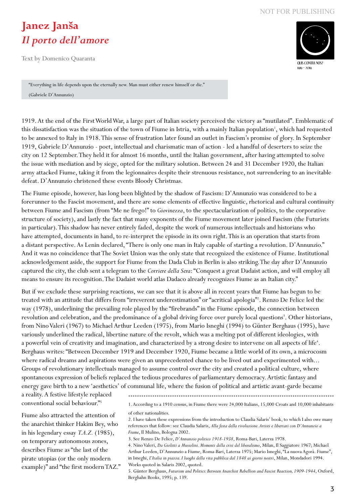## **Janez Janša** *Il porto dell'amore*

Text by Domenico Quaranta



"Everything in life depends upon the eternally new. Man must either renew himself or die." (Gabriele D'Annunzio)

1919. At the end of the First World War, a large part of Italian society perceived the victory as "mutilated". Emblematic of this dissatisfaction was the situation of the town of Fiume in Istria, with a mainly Italian population<sup>1</sup>, which had requested to be annexed to Italy in 1918. This sense of frustration later found an outlet in Fascism's promise of glory. In September 1919, Gabriele D'Annunzio - poet, intellectual and charismatic man of action - led a handful of deserters to seize the city on 12 September. They held it for almost 16 months, until the Italian government, after having attempted to solve the issue with mediation and by siege, opted for the military solution. Between 24 and 31 December 1920, the Italian army attacked Fiume, taking it from the legionnaires despite their strenuous resistance, not surrendering to an inevitable defeat. D'Annunzio christened these events Bloody Christmas.

The Fiume episode, however, has long been blighted by the shadow of Fascism: D'Annunzio was considered to be a forerunner to the Fascist movement, and there are some elements of effective linguistic, rhetorical and cultural continuity between Fiume and Fascism (from "Me ne frego!" to *Giovinezza*, to the spectacularization of politics, to the corporative structure of society), and lastly the fact that many exponents of the Fiume movement later joined Fascism (the Futurists in particular). This shadow has never entirely faded, despite the work of numerous intellectuals and historians who have attempted, documents in hand, to re-interpret the episode in its own right. This is an operation that starts from a distant perspective. As Lenin declared, "There is only one man in Italy capable of starting a revolution. D'Annunzio." And it was no coincidence that The Soviet Union was the only state that recognized the existence of Fiume. Institutional acknowledgement aside, the support for Fiume from the Dada Club in Berlin is also striking. The day after D'Annunzio captured the city, the club sent a telegram to the *Corriere della Sera*: "Conquest a great Dadaist action, and will employ all means to ensure its recognition. The Dadaist world atlas Dadaco already recognizes Fiume as an Italian city."

But if we exclude these surprising reactions, we can see that it is above all in recent years that Fiume has begun to be treated with an attitude that differs from "irreverent underestimation" or "acritical apologia"2 . Renzo De Felice led the way (1978), underlining the prevailing role played by the "firebrands" in the Fiume episode, the connection between revolution and celebration, and the predominance of a global driving force over purely local questions<sup>3</sup>. Other historians, from Nino Valeri (1967) to Michael Arthur Leeden (1975), from Mario Isneghi (1994) to Günter Berghaus (1995), have variously underlined the radical, libertine nature of the revolt, which was a melting pot of different ideologies, with a powerful vein of creativity and imagination, and characterized by a strong desire to intervene on all aspects of life<sup>4</sup>. Berghaus writes: "Between December 1919 and December 1920, Fiume became a little world of its own, a microcosm where radical dreams and aspirations were given an unprecedented chance to be lived out and experimented with... Groups of revolutionary intellectuals managed to assume control over the city and created a political culture, where spontaneous expression of beliefs replaced the tedious procedures of parliamentary democracy. Artistic fantasy and energy gave birth to a new 'aesthetics' of communal life, where the fusion of political and artistic avant-garde became

a reality. A festive lifestyle replaced conventional social behaviour."5

Fiume also attracted the attention of the anarchist thinker Hakim Bey, who in his legendary essay *T.A.Z.* (1985), on temporary autonomous zones, describes Fiume as "the last of the pirate utopias (or the only modern example)" and "the first modern TAZ." 1. According to a 1910 census, in Fiume there were 24,000 Italians, 15,000 Croats and 10,000 inhabitants of other nationalities.

2. I have taken these expressions from the introduction to Claudia Salaris' book, to which I also owe many references that follow: see Claudia Salaris, *Alla festa della rivoluzione. Artisti e libertari con D'Annunzio a Fiume*, Il Mulino, Bologna 2002.

3. See Renzo De Felice, *D'Annunzio politico 1918-1938*, Roma-Bari, Laterza 1978.

4. Nino Valeri, *Da Giolitti a Mussolini. Momenti della crisi del liberalismo*, Milan, Il Saggiatore 1967; Michael Arthur Leeden, D'Annunzio a Fiume, Roma-Bari, Laterza 1975; Mario Isneghi, "La nuova Agorà. Fiume", in Isneghi, *L'Italia in piazza. I luoghi della vita pubblica dal 1848 ai giorni nostri*, Milan, Mondadori 1994. Works quoted in Salaris 2002, quoted.

5. Günter Berghaus, *Futurism and Politics: Between Anarchist Rebellion and Fascist Reaction, 1909-1944*, Oxford, Berghahn Books, 1995; p. 139.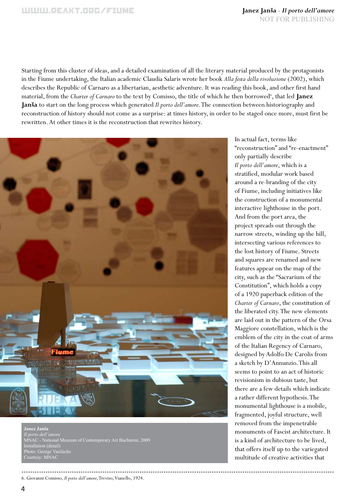Starting from this cluster of ideas, and a detailed examination of all the literary material produced by the protagonists in the Fiume undertaking, the Italian academic Claudia Salaris wrote her book *Alla festa della rivoluzione* (2002), which describes the Republic of Carnaro as a libertarian, aesthetic adventure. It was reading this book, and other first hand material, from the *Charter of Carnaro* to the text by Comisso, the title of which he then borrowed<sup>6</sup>, that led Janez **Janša** to start on the long process which generated *Il porto dell'amore*. The connection between historiography and reconstruction of history should not come as a surprise: at times history, in order to be staged once more, must first be rewritten. At other times it is the reconstruction that rewrites history.



**Janez Janša** *Il porto dell'amore* MNAC - National Museum of Contemporary Art Bucharest, 2009 Installation (detail) Photo: George Vasilache Courtesy: MNAC

6. Giovanni Comisso, *Il porto dell'amore*, Treviso, Vianello, 1924. 

In actual fact, terms like "reconstruction" and "re-enactment" only partially describe *Il porto dell'amore*, which is a stratified, modular work based around a re-branding of the city of Fiume, including initiatives like the construction of a monumental interactive lighthouse in the port. And from the port area, the project spreads out through the narrow streets, winding up the hill, intersecting various references to the lost history of Fiume. Streets and squares are renamed and new features appear on the map of the city, such as the "Sacrarium of the Constitution", which holds a copy of a 1920 paperback edition of the *Charter of Carnaro*, the constitution of the liberated city. The new elements are laid out in the pattern of the Orsa Maggiore constellation, which is the emblem of the city in the coat of arms of the Italian Regency of Carnaro, designed by Adolfo De Carolis from a sketch by D'Annunzio. This all seems to point to an act of historic revisionism in dubious taste, but there are a few details which indicate a rather different hypothesis. The monumental lighthouse is a mobile, fragmented, joyful structure, well removed from the impenetrable monuments of Fascist architecture. It is a kind of architecture to be lived, that offers itself up to the variegated multitude of creative activities that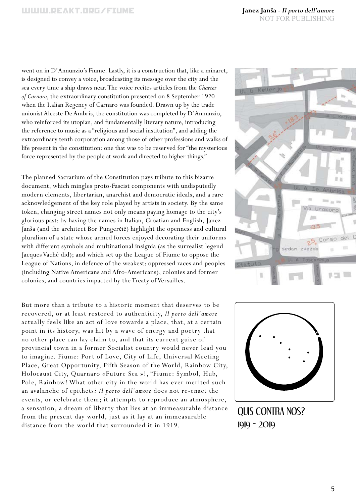went on in D'Annunzio's Fiume. Lastly, it is a construction that, like a minaret, is designed to convey a voice, broadcasting its message over the city and the sea every time a ship draws near. The voice recites articles from the *Charter of Carnaro*, the extraordinary constitution presented on 8 September 1920 when the Italian Regency of Carnaro was founded. Drawn up by the trade unionist Alceste De Ambris, the constitution was completed by D'Annunzio, who reinforced its utopian, and fundamentally literary nature, introducing the reference to music as a "religious and social institution", and adding the extraordinary tenth corporation among those of other professions and walks of life present in the constitution: one that was to be reserved for "the mysterious force represented by the people at work and directed to higher things."

The planned Sacrarium of the Constitution pays tribute to this bizarre document, which mingles proto-Fascist components with undisputedly modern elements, libertarian, anarchist and democratic ideals, and a rare acknowledgement of the key role played by artists in society. By the same token, changing street names not only means paying homage to the city's glorious past: by having the names in Italian, Croatian and English, Janez Janša (and the architect Bor Pungerčič) highlight the openness and cultural pluralism of a state whose armed forces enjoyed decorating their uniforms with different symbols and multinational insignia (as the surrealist legend Jacques Vaché did); and which set up the League of Fiume to oppose the League of Nations, in defence of the weakest: oppressed races and peoples (including Native Americans and Afro-Americans), colonies and former colonies, and countries impacted by the Treaty of Versailles.

But more than a tribute to a historic moment that deserves to be recovered, or at least restored to authenticity, *Il porto dell'amore* actually feels like an act of love towards a place, that, at a certain point in its history, was hit by a wave of energy and poetry that no other place can lay claim to, and that its current guise of provincial town in a former Socialist country would never lead you to imagine. Fiume: Port of Love, City of Life, Universal Meeting Place, Great Opportunity, Fifth Season of the World, Rainbow City, Holocaust City, Quarnaro «Future Sea »!, "Fiume: Symbol, Hub, Pole, Rainbow! What other city in the world has ever merited such an avalanche of epithets? *Il porto dell'amore* does not re-enact the events, or celebrate them; it attempts to reproduce an atmosphere, a sensation, a dream of liberty that lies at an immeasurable distance from the present day world, just as it lay at an immeasurable distance from the world that surrounded it in 1919.





QUIS CONTRA NOS? 1919 - 2019